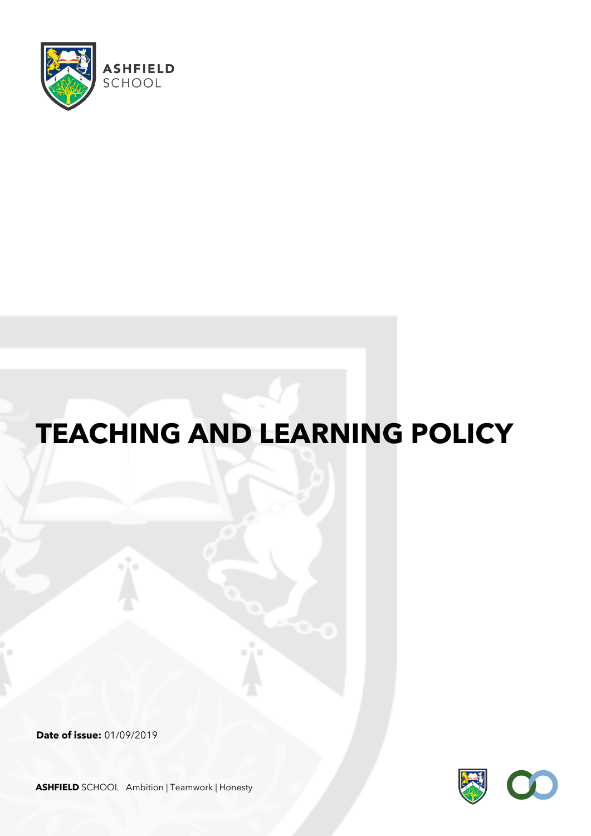

# **TEACHING AND LEARNING POLICY**

**Date of issue:** 01/09/2019



**ASHFIELD** SCHOOL Ambition | Teamwork | Honesty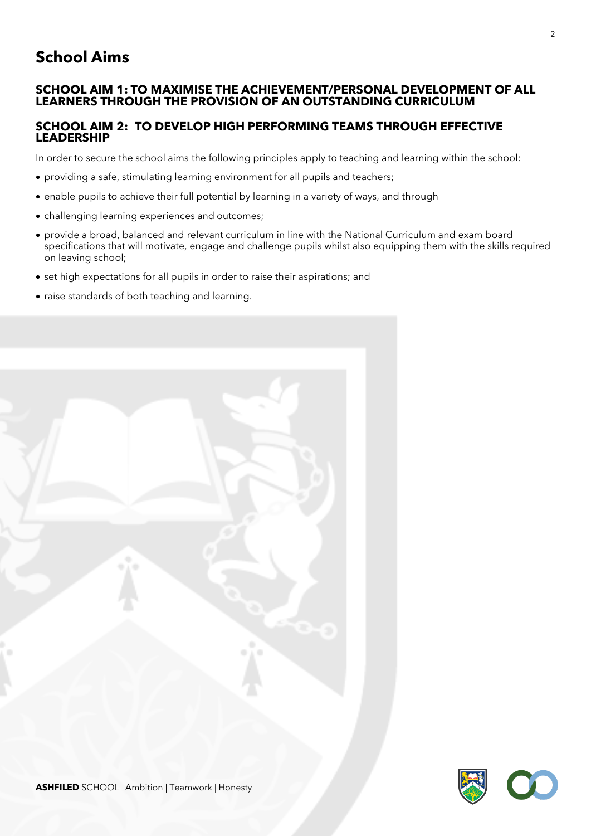# **School Aims**

#### **SCHOOL AIM 1: TO MAXIMISE THE ACHIEVEMENT/PERSONAL DEVELOPMENT OF ALL LEARNERS THROUGH THE PROVISION OF AN OUTSTANDING CURRICULUM**

#### **SCHOOL AIM 2: TO DEVELOP HIGH PERFORMING TEAMS THROUGH EFFECTIVE LEADERSHIP**

In order to secure the school aims the following principles apply to teaching and learning within the school:

- providing a safe, stimulating learning environment for all pupils and teachers;
- enable pupils to achieve their full potential by learning in a variety of ways, and through
- challenging learning experiences and outcomes;
- provide a broad, balanced and relevant curriculum in line with the National Curriculum and exam board specifications that will motivate, engage and challenge pupils whilst also equipping them with the skills required on leaving school;
- set high expectations for all pupils in order to raise their aspirations; and
- raise standards of both teaching and learning.

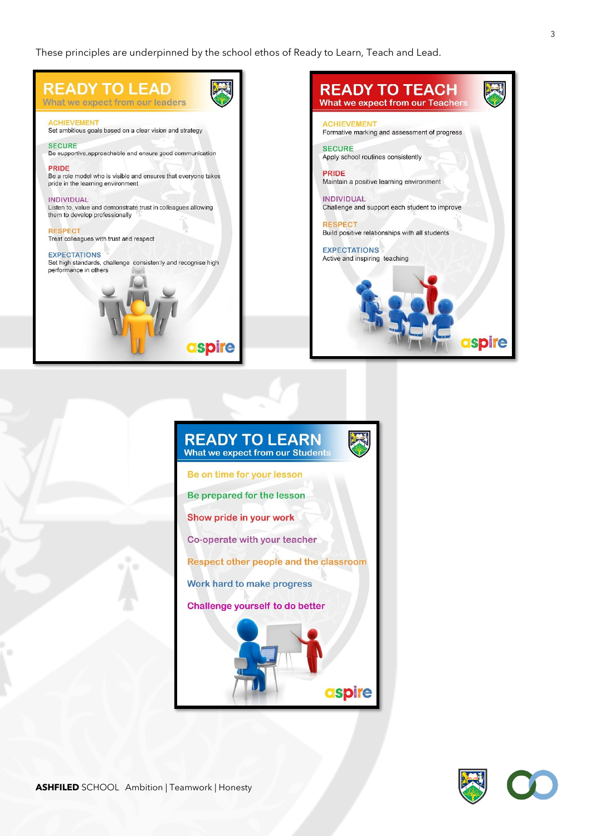These principles are underpinned by the school ethos of Ready to Learn, Teach and Lead.





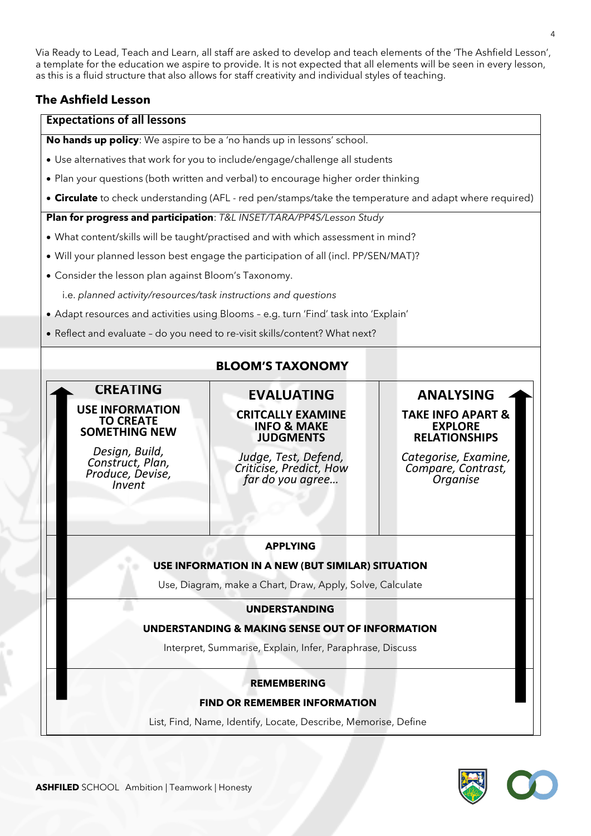Via Ready to Lead, Teach and Learn, all staff are asked to develop and teach elements of the 'The Ashfield Lesson', a template for the education we aspire to provide. It is not expected that all elements will be seen in every lesson, as this is a fluid structure that also allows for staff creativity and individual styles of teaching.

# **The Ashfield Lesson**

#### **Expectations of all lessons**

**No hands up policy**: We aspire to be a 'no hands up in lessons' school.

- Use alternatives that work for you to include/engage/challenge all students
- Plan your questions (both written and verbal) to encourage higher order thinking
- **Circulate** to check understanding (AFL red pen/stamps/take the temperature and adapt where required)

#### **Plan for progress and participation**: *T&L INSET/TARA/PP4S/Lesson Study*

- What content/skills will be taught/practised and with which assessment in mind?
- Will your planned lesson best engage the participation of all (incl. PP/SEN/MAT)?
- Consider the lesson plan against Bloom's Taxonomy.
	- i.e. *planned activity/resources/task instructions and questions*
- Adapt resources and activities using Blooms e.g. turn 'Find' task into 'Explain'
- Reflect and evaluate do you need to re-visit skills/content? What next?

# **BLOOM'S TAXONOMY**

# **CREATING**

#### **USE INFORMATION TO CREATE SOMETHING NEW**

*Design, Build, Construct, Plan, Produce, Devise, Invent*

# **CRITCALLY EXAMINE INFO & MAKE JUDGMENTS**

**EVALUATING**

*Judge, Test, Defend, Criticise, Predict, How far do you agree…*

#### **ANALYSING TAKE INFO APART & EXPLORE RELATIONSHIPS**

*Categorise, Examine, Compare, Contrast, Organise*

#### **APPLYING**

#### **USE INFORMATION IN A NEW (BUT SIMILAR) SITUATION**

Use, Diagram, make a Chart, Draw, Apply, Solve, Calculate

#### **UNDERSTANDING**

#### **UNDERSTANDING & MAKING SENSE OUT OF INFORMATION**

Interpret, Summarise, Explain, Infer, Paraphrase, Discuss

#### **REMEMBERING**

**FIND OR REMEMBER INFORMATION**

List, Find, Name, Identify, Locate, Describe, Memorise, Define

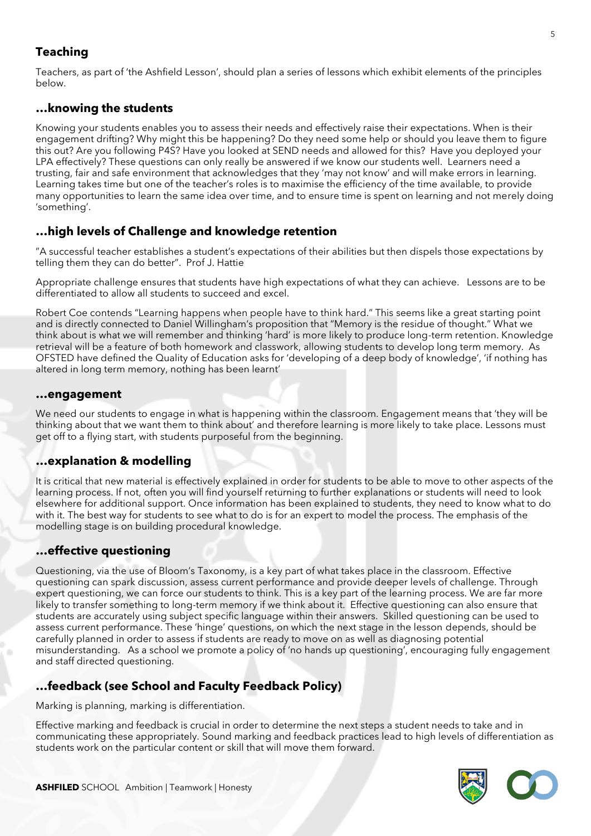# **Teaching**

Teachers, as part of 'the Ashfield Lesson', should plan a series of lessons which exhibit elements of the principles below.

# **…knowing the students**

Knowing your students enables you to assess their needs and effectively raise their expectations. When is their engagement drifting? Why might this be happening? Do they need some help or should you leave them to figure this out? Are you following P4S? Have you looked at SEND needs and allowed for this? Have you deployed your LPA effectively? These questions can only really be answered if we know our students well. Learners need a trusting, fair and safe environment that acknowledges that they 'may not know' and will make errors in learning. Learning takes time but one of the teacher's roles is to maximise the efficiency of the time available, to provide many opportunities to learn the same idea over time, and to ensure time is spent on learning and not merely doing 'something'.

# **…high levels of Challenge and knowledge retention**

"A successful teacher establishes a student's expectations of their abilities but then dispels those expectations by telling them they can do better". Prof J. Hattie

Appropriate challenge ensures that students have high expectations of what they can achieve. Lessons are to be differentiated to allow all students to succeed and excel.

Robert Coe contends "Learning happens when people have to think hard." This seems like a great starting point and is directly connected to Daniel Willingham's proposition that "Memory is the residue of thought." What we think about is what we will remember and thinking 'hard' is more likely to produce long-term retention. Knowledge retrieval will be a feature of both homework and classwork, allowing students to develop long term memory. As OFSTED have defined the Quality of Education asks for 'developing of a deep body of knowledge', 'if nothing has altered in long term memory, nothing has been learnt'

#### **…engagement**

We need our students to engage in what is happening within the classroom. Engagement means that 'they will be thinking about that we want them to think about' and therefore learning is more likely to take place. Lessons must get off to a flying start, with students purposeful from the beginning.

# **…explanation & modelling**

It is critical that new material is effectively explained in order for students to be able to move to other aspects of the learning process. If not, often you will find yourself returning to further explanations or students will need to look elsewhere for additional support. Once information has been explained to students, they need to know what to do with it. The best way for students to see what to do is for an expert to model the process. The emphasis of the modelling stage is on building procedural knowledge.

# **…effective questioning**

Questioning, via the use of Bloom's Taxonomy, is a key part of what takes place in the classroom. Effective questioning can spark discussion, assess current performance and provide deeper levels of challenge. Through expert questioning, we can force our students to think. This is a key part of the learning process. We are far more likely to transfer something to long-term memory if we think about it. Effective questioning can also ensure that students are accurately using subject specific language within their answers. Skilled questioning can be used to assess current performance. These 'hinge' questions, on which the next stage in the lesson depends, should be carefully planned in order to assess if students are ready to move on as well as diagnosing potential misunderstanding. As a school we promote a policy of 'no hands up questioning', encouraging fully engagement and staff directed questioning.

# **…feedback (see School and Faculty Feedback Policy)**

Marking is planning, marking is differentiation.

Effective marking and feedback is crucial in order to determine the next steps a student needs to take and in communicating these appropriately. Sound marking and feedback practices lead to high levels of differentiation as students work on the particular content or skill that will move them forward.

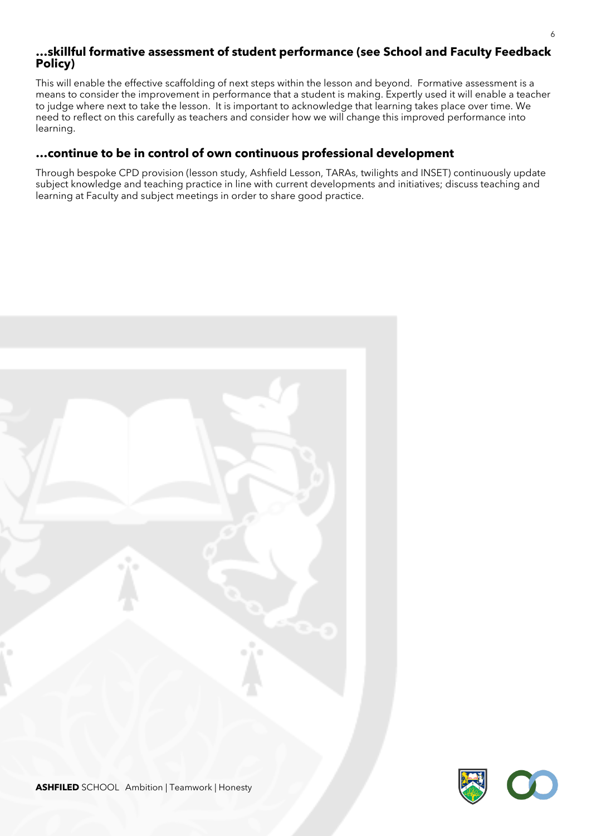#### **…skillful formative assessment of student performance (see School and Faculty Feedback Policy)**

This will enable the effective scaffolding of next steps within the lesson and beyond. Formative assessment is a means to consider the improvement in performance that a student is making. Expertly used it will enable a teacher to judge where next to take the lesson. It is important to acknowledge that learning takes place over time. We need to reflect on this carefully as teachers and consider how we will change this improved performance into learning.

### **…continue to be in control of own continuous professional development**

Through bespoke CPD provision (lesson study, Ashfield Lesson, TARAs, twilights and INSET) continuously update subject knowledge and teaching practice in line with current developments and initiatives; discuss teaching and learning at Faculty and subject meetings in order to share good practice.